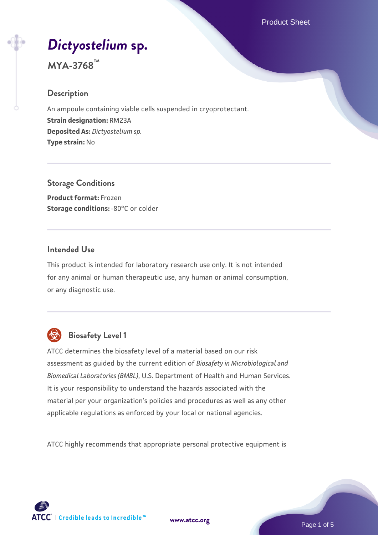# *[Dictyostelium](https://www.atcc.org/products/mya-3768)* **[sp.](https://www.atcc.org/products/mya-3768)**

# **MYA-3768™**

#### **Description**

An ampoule containing viable cells suspended in cryoprotectant. **Strain designation:** RM23A **Deposited As:** *Dictyostelium sp.* **Type strain:** No

**Storage Conditions Product format:** Frozen **Storage conditions: -80°C or colder** 

#### **Intended Use**

This product is intended for laboratory research use only. It is not intended for any animal or human therapeutic use, any human or animal consumption, or any diagnostic use.



# **Biosafety Level 1**

ATCC determines the biosafety level of a material based on our risk assessment as guided by the current edition of *Biosafety in Microbiological and Biomedical Laboratories (BMBL)*, U.S. Department of Health and Human Services. It is your responsibility to understand the hazards associated with the material per your organization's policies and procedures as well as any other applicable regulations as enforced by your local or national agencies.

ATCC highly recommends that appropriate personal protective equipment is

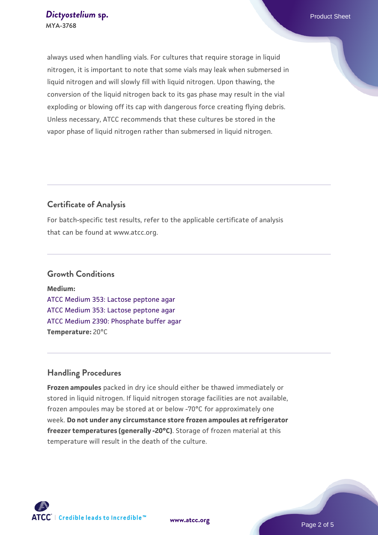always used when handling vials. For cultures that require storage in liquid nitrogen, it is important to note that some vials may leak when submersed in liquid nitrogen and will slowly fill with liquid nitrogen. Upon thawing, the conversion of the liquid nitrogen back to its gas phase may result in the vial exploding or blowing off its cap with dangerous force creating flying debris. Unless necessary, ATCC recommends that these cultures be stored in the vapor phase of liquid nitrogen rather than submersed in liquid nitrogen.

# **Certificate of Analysis**

For batch-specific test results, refer to the applicable certificate of analysis that can be found at www.atcc.org.

#### **Growth Conditions**

**Medium:**  [ATCC Medium 353: Lactose peptone agar](https://www.atcc.org/-/media/product-assets/documents/microbial-media-formulations/3/5/3/atcc-medium-353.pdf?rev=9ed23b356caa4dfebcf9e6590ea13ec3) [ATCC Medium 353: Lactose peptone agar](https://www.atcc.org/-/media/product-assets/documents/microbial-media-formulations/3/5/3/atcc-medium-353.pdf?rev=9ed23b356caa4dfebcf9e6590ea13ec3) [ATCC Medium 2390: Phosphate buffer agar](https://www.atcc.org/-/media/product-assets/documents/microbial-media-formulations/3/9/0/atcc-medium-2390.pdf?rev=89996af703964c13ba1f47c60a6eae4e) **Temperature:** 20°C

# **Handling Procedures**

**Frozen ampoules** packed in dry ice should either be thawed immediately or stored in liquid nitrogen. If liquid nitrogen storage facilities are not available, frozen ampoules may be stored at or below -70°C for approximately one week. **Do not under any circumstance store frozen ampoules at refrigerator freezer temperatures (generally -20°C)**. Storage of frozen material at this temperature will result in the death of the culture.

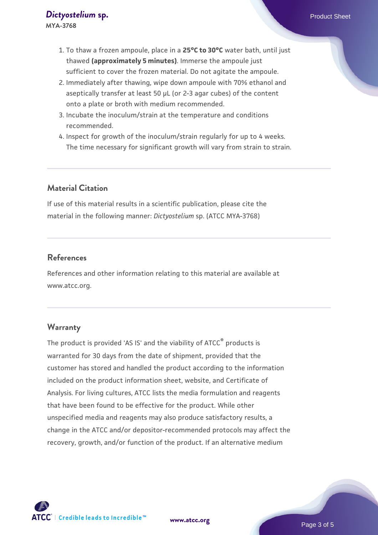- 1. To thaw a frozen ampoule, place in a **25°C to 30°C** water bath, until just thawed **(approximately 5 minutes)**. Immerse the ampoule just sufficient to cover the frozen material. Do not agitate the ampoule.
- 2. Immediately after thawing, wipe down ampoule with 70% ethanol and aseptically transfer at least 50 µL (or 2-3 agar cubes) of the content onto a plate or broth with medium recommended.
- 3. Incubate the inoculum/strain at the temperature and conditions recommended.
- 4. Inspect for growth of the inoculum/strain regularly for up to 4 weeks. The time necessary for significant growth will vary from strain to strain.

# **Material Citation**

If use of this material results in a scientific publication, please cite the material in the following manner: *Dictyostelium* sp. (ATCC MYA-3768)

#### **References**

References and other information relating to this material are available at www.atcc.org.

#### **Warranty**

The product is provided 'AS IS' and the viability of ATCC<sup>®</sup> products is warranted for 30 days from the date of shipment, provided that the customer has stored and handled the product according to the information included on the product information sheet, website, and Certificate of Analysis. For living cultures, ATCC lists the media formulation and reagents that have been found to be effective for the product. While other unspecified media and reagents may also produce satisfactory results, a change in the ATCC and/or depositor-recommended protocols may affect the recovery, growth, and/or function of the product. If an alternative medium

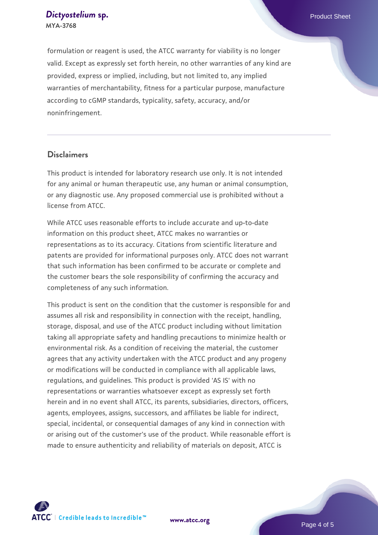#### **[Dictyostelium](https://www.atcc.org/products/mya-3768) [sp.](https://www.atcc.org/products/mya-3768) Product Sheet Product Sheet MYA-3768**

formulation or reagent is used, the ATCC warranty for viability is no longer valid. Except as expressly set forth herein, no other warranties of any kind are provided, express or implied, including, but not limited to, any implied warranties of merchantability, fitness for a particular purpose, manufacture according to cGMP standards, typicality, safety, accuracy, and/or noninfringement.

# **Disclaimers**

This product is intended for laboratory research use only. It is not intended for any animal or human therapeutic use, any human or animal consumption, or any diagnostic use. Any proposed commercial use is prohibited without a license from ATCC.

While ATCC uses reasonable efforts to include accurate and up-to-date information on this product sheet, ATCC makes no warranties or representations as to its accuracy. Citations from scientific literature and patents are provided for informational purposes only. ATCC does not warrant that such information has been confirmed to be accurate or complete and the customer bears the sole responsibility of confirming the accuracy and completeness of any such information.

This product is sent on the condition that the customer is responsible for and assumes all risk and responsibility in connection with the receipt, handling, storage, disposal, and use of the ATCC product including without limitation taking all appropriate safety and handling precautions to minimize health or environmental risk. As a condition of receiving the material, the customer agrees that any activity undertaken with the ATCC product and any progeny or modifications will be conducted in compliance with all applicable laws, regulations, and guidelines. This product is provided 'AS IS' with no representations or warranties whatsoever except as expressly set forth herein and in no event shall ATCC, its parents, subsidiaries, directors, officers, agents, employees, assigns, successors, and affiliates be liable for indirect, special, incidental, or consequential damages of any kind in connection with or arising out of the customer's use of the product. While reasonable effort is made to ensure authenticity and reliability of materials on deposit, ATCC is



**[www.atcc.org](http://www.atcc.org)**

Page 4 of 5